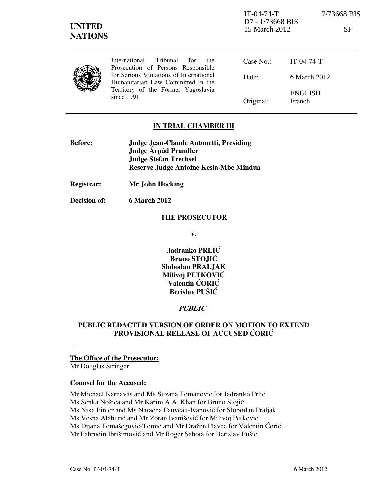| <b>UNITED</b><br><b>NATIONS</b> |                                                                                                                                  | $IT-04-74-T$<br>D7 - 1/73668 BIS<br>15 March 2012 |                          | 7/73668 BIS<br>SF |
|---------------------------------|----------------------------------------------------------------------------------------------------------------------------------|---------------------------------------------------|--------------------------|-------------------|
|                                 | International<br>Tribunal<br>for<br>the.<br>Prosecution of Persons Responsible                                                   | Case $No.$ :                                      | $IT-04-74-T$             |                   |
|                                 | for Serious Violations of International<br>Humanitarian Law Committed in the<br>Territory of the Former Yugoslavia<br>since 1991 | Date:                                             | 6 March 2012             |                   |
|                                 |                                                                                                                                  | Original:                                         | <b>ENGLISH</b><br>French |                   |

## IN TRIAL CHAMBER III

| <b>Before:</b> | Judge Jean-Claude Antonetti, Presiding |  |
|----------------|----------------------------------------|--|
|                | Judge Árpád Prandler                   |  |
|                | <b>Judge Stefan Trechsel</b>           |  |
|                | Reserve Judge Antoine Kesia-Mbe Mindua |  |

Registrar: Mr John Hocking

Decision of: 6 March 2012

#### THE PROSECUTOR

v.

Jadranko PRLIĆ Bruno STOJIĆ Slobodan PRALJAK Milivoj PETKOVIĆ Valentin ĆORIĆ Berislav PUŠIĆ

## **PUBLIC**

# PUBLIC REDACTED VERSION OF ORDER ON MOTION TO EXTEND PROVISIONAL RELEASE OF ACCUSED CORIC

#### The Office of the Prosecutor:

Mr Douglas Stringer

## Counsel for the Accused:

Mr Michael Karnavas and Ms Suzana Tomanović for Jadranko Prlić

Ms Senka Nožica and Mr Karim A.A. Khan for Bruno Stojić

Ms Nika Pinter and Ms Natacha Fauveau-Ivanović for Slobodan Praljak

Ms Vesna Alaburić and Mr Zoran Ivanišević for Milivoj Petković

Ms Dijana Tomašegović-Tomić and Mr Dražen Plavec for Valentin Ćorić

Mr Fahrudin Ibrišimović and Mr Roger Sahota for Berislav Pušić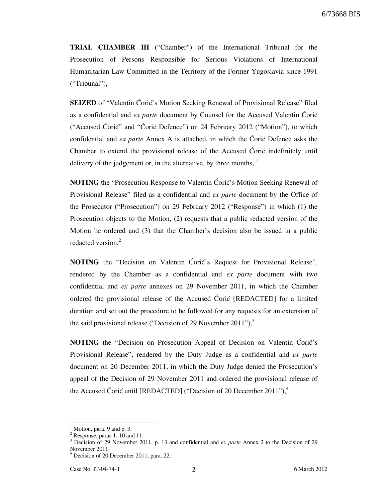TRIAL CHAMBER III ("Chamber") of the International Tribunal for the Prosecution of Persons Responsible for Serious Violations of International Humanitarian Law Committed in the Territory of the Former Yugoslavia since 1991 ("Tribunal"),

**SEIZED** of "Valentin Ćorić's Motion Seeking Renewal of Provisional Release" filed as a confidential and  $ex$  parte document by Counsel for the Accused Valentin Coric ("Accused Ćorić" and "Ćorić Defence") on 24 February 2012 ("Motion"), to which confidential and *ex parte* Annex A is attached, in which the Coric Defence asks the Chamber to extend the provisional release of the Accused Coric indefinitely until delivery of the judgement or, in the alternative, by three months,  $<sup>1</sup>$ </sup>

**NOTING** the "Prosecution Response to Valentin Coric's Motion Seeking Renewal of Provisional Release" filed as a confidential and ex parte document by the Office of the Prosecutor ("Prosecution") on 29 February 2012 ("Response") in which (1) the Prosecution objects to the Motion, (2) requests that a public redacted version of the Motion be ordered and (3) that the Chamber's decision also be issued in a public redacted version, $2$ 

NOTING the "Decision on Valentin Ćorić's Request for Provisional Release", rendered by the Chamber as a confidential and ex parte document with two confidential and ex parte annexes on 29 November 2011, in which the Chamber ordered the provisional release of the Accused Coric [REDACTED] for a limited duration and set out the procedure to be followed for any requests for an extension of the said provisional release ("Decision of 29 November 2011"), $3$ 

NOTING the "Decision on Prosecution Appeal of Decision on Valentin Coric's Provisional Release", rendered by the Duty Judge as a confidential and ex parte document on 20 December 2011, in which the Duty Judge denied the Prosecution's appeal of the Decision of 29 November 2011 and ordered the provisional release of the Accused Ćorić until [REDACTED] ("Decision of 20 December 2011"), $4$ 

 $<sup>1</sup>$  Motion, para. 9 and p. 3.</sup>

<sup>&</sup>lt;sup>2</sup> Response, paras 1, 10 and 11.

 $3$  Decision of 29 November 2011, p. 13 and confidential and *ex parte* Annex 2 to the Decision of 29 November 2011.

<sup>4</sup> Decision of 20 December 2011, para. 22.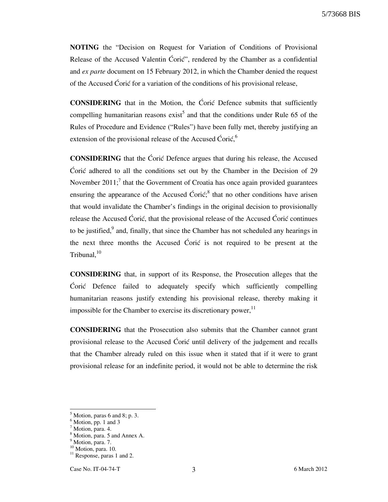5/73668 BIS

NOTING the "Decision on Request for Variation of Conditions of Provisional Release of the Accused Valentin Ćorić", rendered by the Chamber as a confidential and *ex parte* document on 15 February 2012, in which the Chamber denied the request of the Accused Ćorić for a variation of the conditions of his provisional release,

**CONSIDERING** that in the Motion, the Coric Defence submits that sufficiently compelling humanitarian reasons  $exist^5$  and that the conditions under Rule 65 of the Rules of Procedure and Evidence ("Rules") have been fully met, thereby justifying an extension of the provisional release of the Accused Ćorić,<sup>6</sup>

**CONSIDERING** that the Coric Defence argues that during his release, the Accused Coric adhered to all the conditions set out by the Chamber in the Decision of  $29$ November 2011;<sup>7</sup> that the Government of Croatia has once again provided guarantees ensuring the appearance of the Accused Ćorić;<sup>8</sup> that no other conditions have arisen that would invalidate the Chamber's findings in the original decision to provisionally release the Accused Coric, that the provisional release of the Accused Coric continues to be justified, $9$  and, finally, that since the Chamber has not scheduled any hearings in the next three months the Accused Coric is not required to be present at the Tribunal. $10<sup>10</sup>$ 

CONSIDERING that, in support of its Response, the Prosecution alleges that the ]ori} Defence failed to adequately specify which sufficiently compelling humanitarian reasons justify extending his provisional release, thereby making it impossible for the Chamber to exercise its discretionary power,  $11$ 

CONSIDERING that the Prosecution also submits that the Chamber cannot grant provisional release to the Accused Coric until delivery of the judgement and recalls that the Chamber already ruled on this issue when it stated that if it were to grant provisional release for an indefinite period, it would not be able to determine the risk

 $<sup>5</sup>$  Motion, paras 6 and 8; p. 3.</sup>

 $<sup>6</sup>$  Motion, pp. 1 and 3</sup>

<sup>&</sup>lt;sup>7</sup> Motion, para. 4.

<sup>8</sup> Motion, para. 5 and Annex A.

<sup>&</sup>lt;sup>9</sup> Motion, para. 7.

<sup>&</sup>lt;sup>10</sup> Motion, para. 10.

 $11$  Response, paras 1 and 2.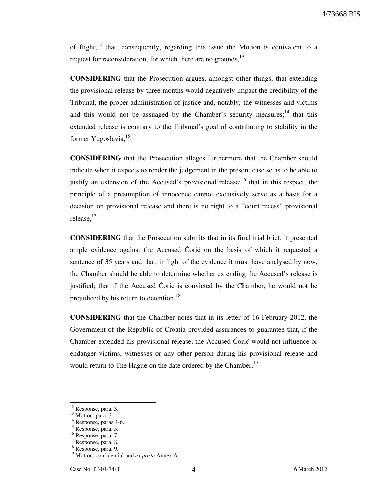of flight;<sup>12</sup> that, consequently, regarding this issue the Motion is equivalent to a request for reconsideration, for which there are no grounds, $^{13}$ 

CONSIDERING that the Prosecution argues, amongst other things, that extending the provisional release by three months would negatively impact the credibility of the Tribunal, the proper administration of justice and, notably, the witnesses and victims and this would not be assuaged by the Chamber's security measures;<sup>14</sup> that this extended release is contrary to the Tribunal's goal of contributing to stability in the former Yugoslavia, <sup>15</sup>

CONSIDERING that the Prosecution alleges furthermore that the Chamber should indicate when it expects to render the judgement in the present case so as to be able to justify an extension of the Accused's provisional release;<sup>16</sup> that in this respect, the principle of a presumption of innocence cannot exclusively serve as a basis for a decision on provisional release and there is no right to a "court recess" provisional release,<sup>17</sup>

CONSIDERING that the Prosecution submits that in its final trial brief, it presented ample evidence against the Accused Coric on the basis of which it requested a sentence of 35 years and that, in light of the evidence it must have analysed by now, the Chamber should be able to determine whether extending the Accused's release is justified; that if the Accused Ćorić is convicted by the Chamber, he would not be prejudiced by his return to detention,  $18$ 

CONSIDERING that the Chamber notes that in its letter of 16 February 2012, the Government of the Republic of Croatia provided assurances to guarantee that, if the Chamber extended his provisional release, the Accused Coric would not influence or endanger victims, witnesses or any other person during his provisional release and would return to The Hague on the date ordered by the Chamber,<sup>19</sup>

 $12$  Response, para. 3.

<sup>&</sup>lt;sup>13</sup> Motion, para. 3.

 $14$  Response, paras 4-6.

<sup>&</sup>lt;sup>15</sup> Response, para. 5.

<sup>&</sup>lt;sup>16</sup> Response, para. 7.

<sup>&</sup>lt;sup>17</sup> Response, para. 8.

<sup>18</sup> Response, para. 9.

<sup>&</sup>lt;sup>19</sup> Motion, confidential and *ex parte* Annex A.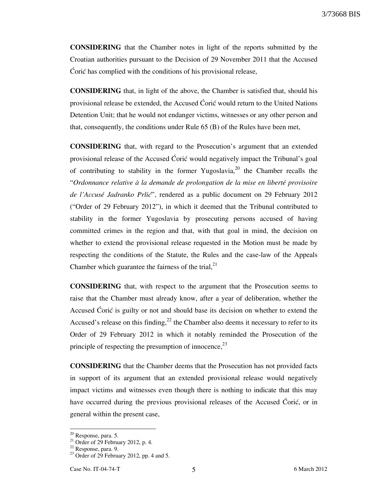3/73668 BIS

CONSIDERING that the Chamber notes in light of the reports submitted by the Croatian authorities pursuant to the Decision of 29 November 2011 that the Accused Corić has complied with the conditions of his provisional release,

CONSIDERING that, in light of the above, the Chamber is satisfied that, should his provisional release be extended, the Accused Ćorić would return to the United Nations Detention Unit; that he would not endanger victims, witnesses or any other person and that, consequently, the conditions under Rule 65 (B) of the Rules have been met,

CONSIDERING that, with regard to the Prosecution's argument that an extended provisional release of the Accused Coric would negatively impact the Tribunal's goal of contributing to stability in the former Yugoslavia,  $2^{\circ}$  the Chamber recalls the "Ordonnance relative à la demande de prolongation de la mise en liberté provisoire de l'Accusé Jadranko Prlic<sup>o</sup>, rendered as a public document on 29 February 2012 ("Order of 29 February 2012"), in which it deemed that the Tribunal contributed to stability in the former Yugoslavia by prosecuting persons accused of having committed crimes in the region and that, with that goal in mind, the decision on whether to extend the provisional release requested in the Motion must be made by respecting the conditions of the Statute, the Rules and the case-law of the Appeals Chamber which guarantee the fairness of the trial, $^{21}$ 

CONSIDERING that, with respect to the argument that the Prosecution seems to raise that the Chamber must already know, after a year of deliberation, whether the Accused Coric is guilty or not and should base its decision on whether to extend the Accused's release on this finding,  $^{22}$  the Chamber also deems it necessary to refer to its Order of 29 February 2012 in which it notably reminded the Prosecution of the principle of respecting the presumption of innocence,  $^{23}$ 

CONSIDERING that the Chamber deems that the Prosecution has not provided facts in support of its argument that an extended provisional release would negatively impact victims and witnesses even though there is nothing to indicate that this may have occurred during the previous provisional releases of the Accused Coric, or in general within the present case,

 $20$  Response, para. 5.

 $21$  Order of 29 February 2012, p. 4.

 $22$  Response, para. 9.

 $2^3$  Order of 29 February 2012, pp. 4 and 5.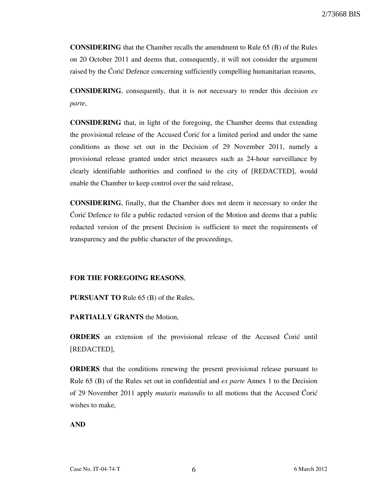CONSIDERING that the Chamber recalls the amendment to Rule 65 (B) of the Rules on 20 October 2011 and deems that, consequently, it will not consider the argument raised by the Coric Defence concerning sufficiently compelling humanitarian reasons,

**CONSIDERING**, consequently, that it is not necessary to render this decision  $ex$ parte,

CONSIDERING that, in light of the foregoing, the Chamber deems that extending the provisional release of the Accused Coric for a limited period and under the same conditions as those set out in the Decision of 29 November 2011, namely a provisional release granted under strict measures such as 24-hour surveillance by clearly identifiable authorities and confined to the city of [REDACTED], would enable the Chamber to keep control over the said release,

CONSIDERING, finally, that the Chamber does not deem it necessary to order the Coric Defence to file a public redacted version of the Motion and deems that a public redacted version of the present Decision is sufficient to meet the requirements of transparency and the public character of the proceedings,

#### FOR THE FOREGOING REASONS,

PURSUANT TO Rule 65 (B) of the Rules,

PARTIALLY GRANTS the Motion,

**ORDERS** an extension of the provisional release of the Accused Coric until [REDACTED],

ORDERS that the conditions renewing the present provisional release pursuant to Rule 65 (B) of the Rules set out in confidential and ex parte Annex 1 to the Decision of 29 November 2011 apply *mutatis mutandis* to all motions that the Accused Corié wishes to make,

#### AND